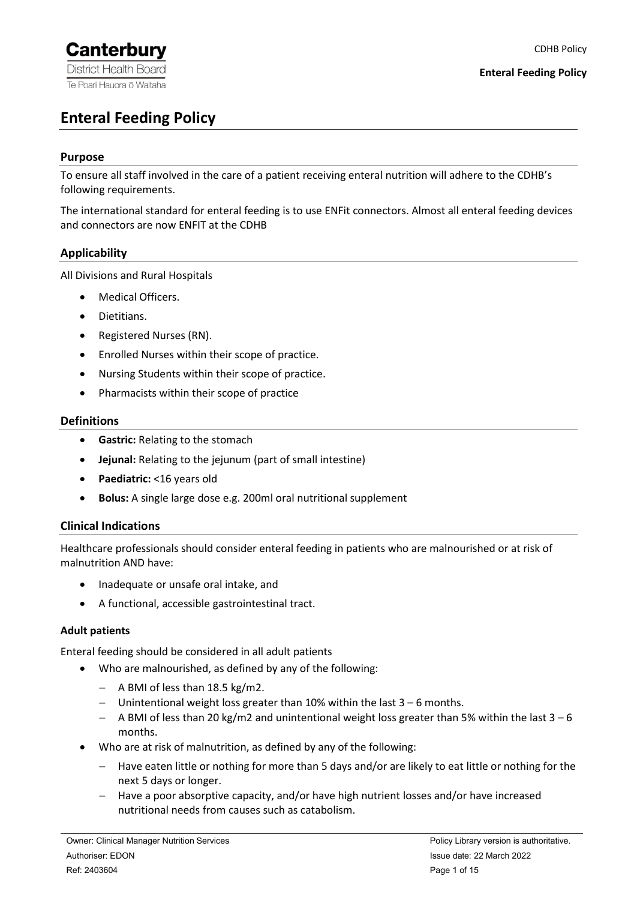# <span id="page-0-0"></span>**Enteral Feeding Policy**

### **Purpose**

To ensure all staff involved in the care of a patient receiving enteral nutrition will adhere to the CDHB's following requirements.

The international standard for enteral feeding is to use ENFit connectors. Almost all enteral feeding devices and connectors are now ENFIT at the CDHB

# **Applicability**

All Divisions and Rural Hospitals

- Medical Officers.
- Dietitians.
- Registered Nurses (RN).
- Enrolled Nurses within their scope of practice.
- Nursing Students within their scope of practice.
- Pharmacists within their scope of practice

#### **Definitions**

- **Gastric:** Relating to the stomach
- **Jejunal:** Relating to the jejunum (part of small intestine)
- **Paediatric:** <16 years old
- **Bolus:** A single large dose e.g. 200ml oral nutritional supplement

### <span id="page-0-1"></span>**Clinical Indications**

Healthcare professionals should consider enteral feeding in patients who are malnourished or at risk of malnutrition AND have:

- Inadequate or unsafe oral intake, and
- A functional, accessible gastrointestinal tract.

### <span id="page-0-2"></span>**Adult patients**

Enteral feeding should be considered in all adult patients

- Who are malnourished, as defined by any of the following:
	- − A BMI of less than 18.5 kg/m2.
	- − Unintentional weight loss greater than 10% within the last 3 6 months.
	- − A BMI of less than 20 kg/m2 and unintentional weight loss greater than 5% within the last 3 6 months.
- Who are at risk of malnutrition, as defined by any of the following:
	- − Have eaten little or nothing for more than 5 days and/or are likely to eat little or nothing for the next 5 days or longer.
	- − Have a poor absorptive capacity, and/or have high nutrient losses and/or have increased nutritional needs from causes such as catabolism.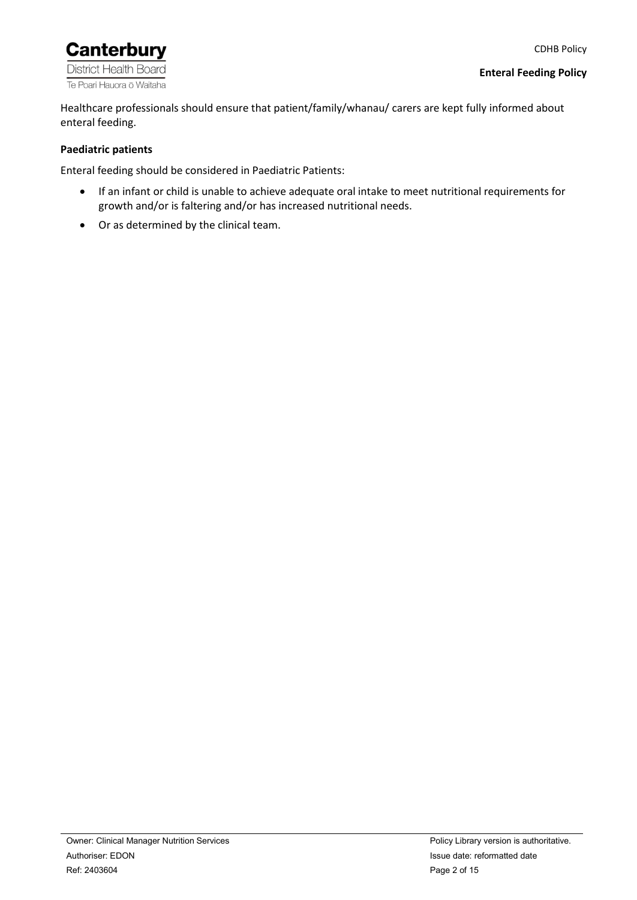

Healthcare professionals should ensure that patient/family/whanau/ carers are kept fully informed about enteral feeding.

#### <span id="page-1-0"></span>**Paediatric patients**

Enteral feeding should be considered in Paediatric Patients:

- If an infant or child is unable to achieve adequate oral intake to meet nutritional requirements for growth and/or is faltering and/or has increased nutritional needs.
- Or as determined by the clinical team.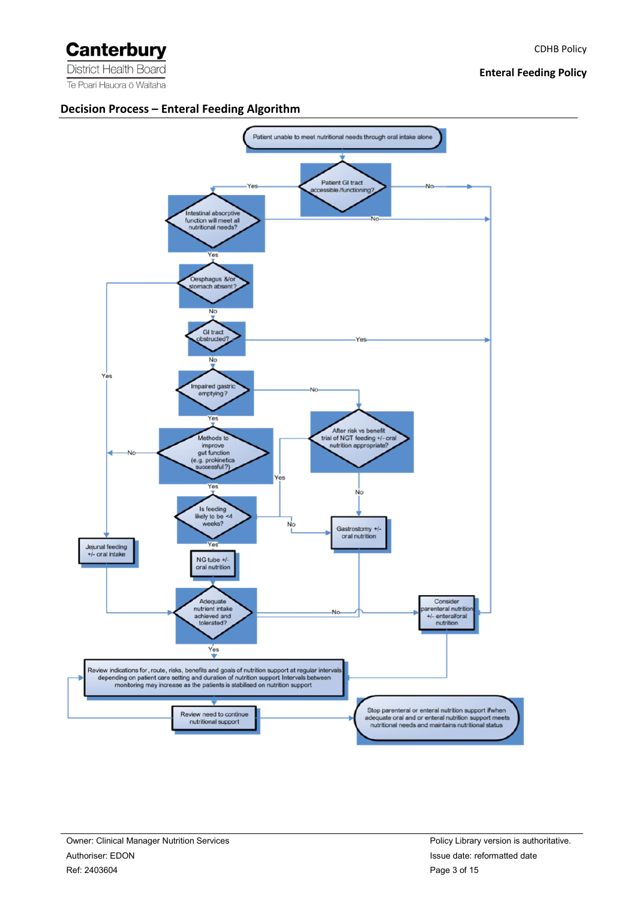#### **Enteral Feeding Policy**

#### <span id="page-2-0"></span>**Decision Process – Enteral Feeding Algorithm**

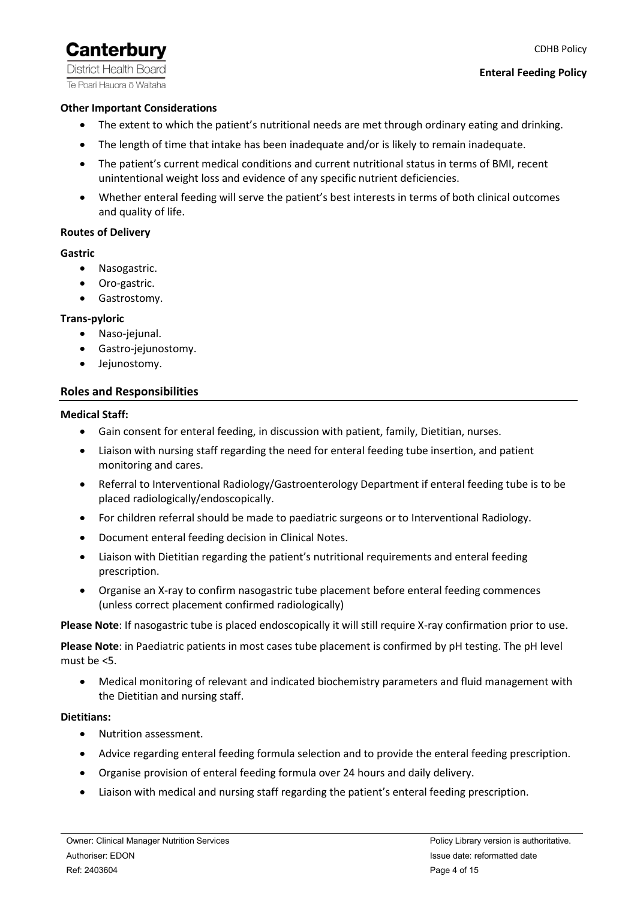**District Health Board** Te Poari Hauora ō Waitaha

### **Other Important Considerations**

- The extent to which the patient's nutritional needs are met through ordinary eating and drinking.
- The length of time that intake has been inadequate and/or is likely to remain inadequate.
- The patient's current medical conditions and current nutritional status in terms of BMI, recent unintentional weight loss and evidence of any specific nutrient deficiencies.
- Whether enteral feeding will serve the patient's best interests in terms of both clinical outcomes and quality of life.

#### **Routes of Delivery**

#### **Gastric**

- Nasogastric.
- Oro-gastric.
- Gastrostomy.

#### **Trans-pyloric**

- Naso-jejunal.
- Gastro-jejunostomy.
- Jejunostomy.

#### <span id="page-3-0"></span>**Roles and Responsibilities**

#### <span id="page-3-1"></span>**Medical Staff:**

- Gain consent for enteral feeding, in discussion with patient, family, Dietitian, nurses.
- Liaison with nursing staff regarding the need for enteral feeding tube insertion, and patient monitoring and cares.
- Referral to Interventional Radiology/Gastroenterology Department if enteral feeding tube is to be placed radiologically/endoscopically.
- For children referral should be made to paediatric surgeons or to Interventional Radiology.
- Document enteral feeding decision in Clinical Notes.
- Liaison with Dietitian regarding the patient's nutritional requirements and enteral feeding prescription.
- Organise an X-ray to confirm nasogastric tube placement before enteral feeding commences (unless correct placement confirmed radiologically)

**Please Note**: If nasogastric tube is placed endoscopically it will still require X-ray confirmation prior to use.

**Please Note**: in Paediatric patients in most cases tube placement is confirmed by pH testing. The pH level must be <5.

• Medical monitoring of relevant and indicated biochemistry parameters and fluid management with the Dietitian and nursing staff.

#### <span id="page-3-2"></span>**Dietitians:**

- Nutrition assessment.
- Advice regarding enteral feeding formula selection and to provide the enteral feeding prescription.
- Organise provision of enteral feeding formula over 24 hours and daily delivery.
- Liaison with medical and nursing staff regarding the patient's enteral feeding prescription.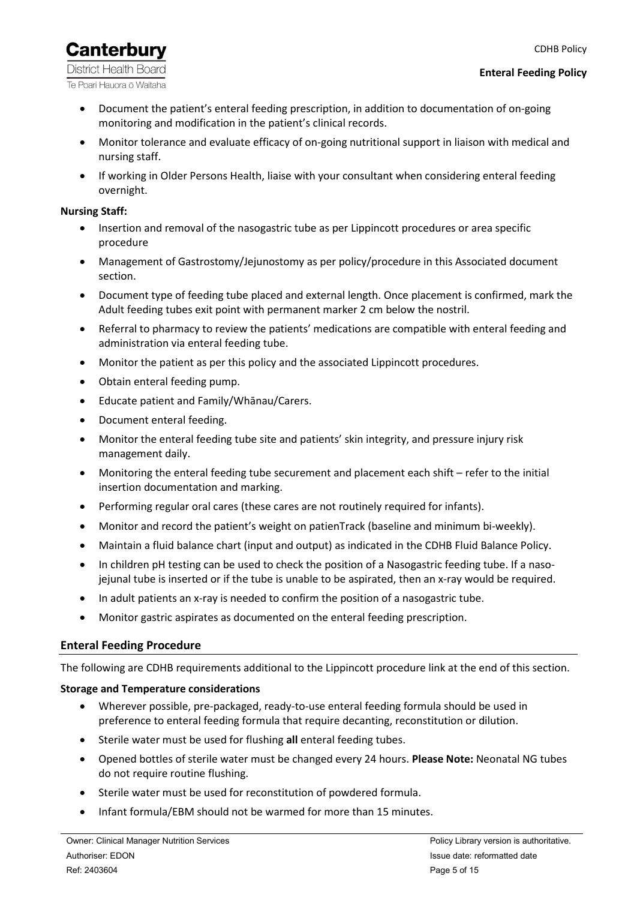#### CDHB Policy

# **Canterbury**

**District Health Board** Te Poari Hauora ō Waitaha

- Document the patient's enteral feeding prescription, in addition to documentation of on-going monitoring and modification in the patient's clinical records.
- Monitor tolerance and evaluate efficacy of on-going nutritional support in liaison with medical and nursing staff.
- If working in Older Persons Health, liaise with your consultant when considering enteral feeding overnight.

### <span id="page-4-0"></span>**Nursing Staff:**

- Insertion and removal of the nasogastric tube as per Lippincott procedures or area specific procedure
- Management of Gastrostomy/Jejunostomy as per policy/procedure in this Associated document section.
- Document type of feeding tube placed and external length. Once placement is confirmed, mark the Adult feeding tubes exit point with permanent marker 2 cm below the nostril.
- Referral to pharmacy to review the patients' medications are compatible with enteral feeding and administration via enteral feeding tube.
- Monitor the patient as per this policy and the associated Lippincott procedures.
- Obtain enteral feeding pump.
- Educate patient and Family/Whānau/Carers.
- Document enteral feeding.
- Monitor the enteral feeding tube site and patients' skin integrity, and pressure injury risk management daily.
- Monitoring the enteral feeding tube securement and placement each shift refer to the initial insertion documentation and marking.
- Performing regular oral cares (these cares are not routinely required for infants).
- Monitor and record the patient's weight on patienTrack (baseline and minimum bi-weekly).
- Maintain a fluid balance chart (input and output) as indicated in the CDHB Fluid Balance Policy.
- In children pH testing can be used to check the position of a Nasogastric feeding tube. If a nasojejunal tube is inserted or if the tube is unable to be aspirated, then an x-ray would be required.
- In adult patients an x-ray is needed to confirm the position of a nasogastric tube.
- Monitor gastric aspirates as documented on the enteral feeding prescription.

### <span id="page-4-1"></span>**Enteral Feeding Procedure**

The following are CDHB requirements additional to the Lippincott procedure link at the end of this section.

### **Storage and Temperature considerations**

- Wherever possible, pre-packaged, ready-to-use enteral feeding formula should be used in preference to enteral feeding formula that require decanting, reconstitution or dilution.
- Sterile water must be used for flushing **all** enteral feeding tubes.
- Opened bottles of sterile water must be changed every 24 hours. **Please Note:** Neonatal NG tubes do not require routine flushing.
- Sterile water must be used for reconstitution of powdered formula.
- Infant formula/EBM should not be warmed for more than 15 minutes.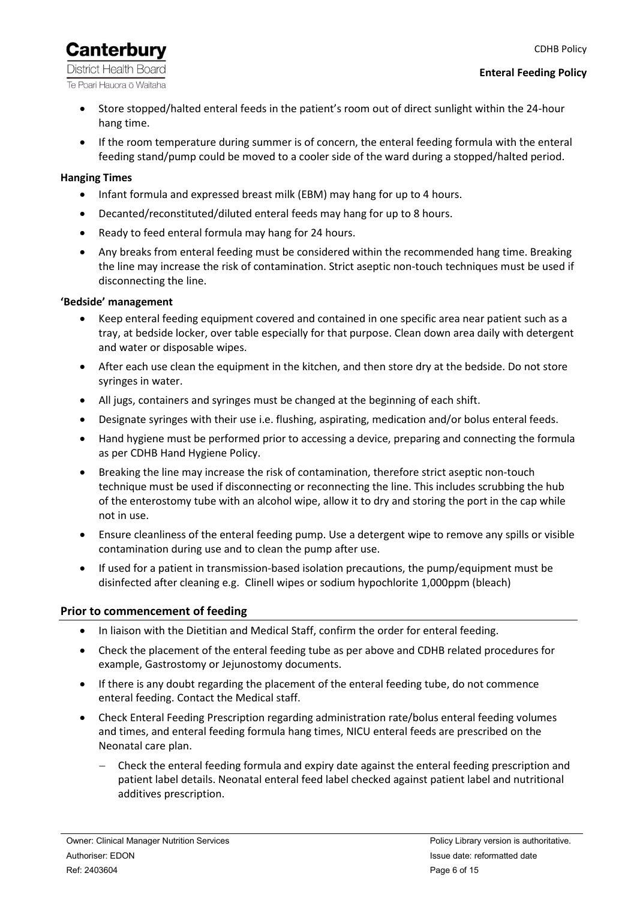**District Health Board** Te Poari Hauora ō Waitaha

- Store stopped/halted enteral feeds in the patient's room out of direct sunlight within the 24-hour hang time.
- If the room temperature during summer is of concern, the enteral feeding formula with the enteral feeding stand/pump could be moved to a cooler side of the ward during a stopped/halted period.

# <span id="page-5-0"></span>**Hanging Times**

- Infant formula and expressed breast milk (EBM) may hang for up to 4 hours.
- Decanted/reconstituted/diluted enteral feeds may hang for up to 8 hours.
- Ready to feed enteral formula may hang for 24 hours.
- Any breaks from enteral feeding must be considered within the recommended hang time. Breaking the line may increase the risk of contamination. Strict aseptic non-touch techniques must be used if disconnecting the line.

### <span id="page-5-1"></span>**'Bedside' management**

- Keep enteral feeding equipment covered and contained in one specific area near patient such as a tray, at bedside locker, over table especially for that purpose. Clean down area daily with detergent and water or disposable wipes.
- After each use clean the equipment in the kitchen, and then store dry at the bedside. Do not store syringes in water.
- All jugs, containers and syringes must be changed at the beginning of each shift.
- Designate syringes with their use i.e. flushing, aspirating, medication and/or bolus enteral feeds.
- Hand hygiene must be performed prior to accessing a device, preparing and connecting the formula as per CDHB Hand Hygiene Policy.
- Breaking the line may increase the risk of contamination, therefore strict aseptic non-touch technique must be used if disconnecting or reconnecting the line. This includes scrubbing the hub of the enterostomy tube with an alcohol wipe, allow it to dry and storing the port in the cap while not in use.
- Ensure cleanliness of the enteral feeding pump. Use a detergent wipe to remove any spills or visible contamination during use and to clean the pump after use.
- If used for a patient in transmission-based isolation precautions, the pump/equipment must be disinfected after cleaning e.g. Clinell wipes or sodium hypochlorite 1,000ppm (bleach)

# <span id="page-5-2"></span>**Prior to commencement of feeding**

- In liaison with the Dietitian and Medical Staff, confirm the order for enteral feeding.
- Check the placement of the enteral feeding tube as per above and CDHB related procedures for example, Gastrostomy or Jejunostomy documents.
- If there is any doubt regarding the placement of the enteral feeding tube, do not commence enteral feeding. Contact the Medical staff.
- Check Enteral Feeding Prescription regarding administration rate/bolus enteral feeding volumes and times, and enteral feeding formula hang times, NICU enteral feeds are prescribed on the Neonatal care plan.
	- − Check the enteral feeding formula and expiry date against the enteral feeding prescription and patient label details. Neonatal enteral feed label checked against patient label and nutritional additives prescription.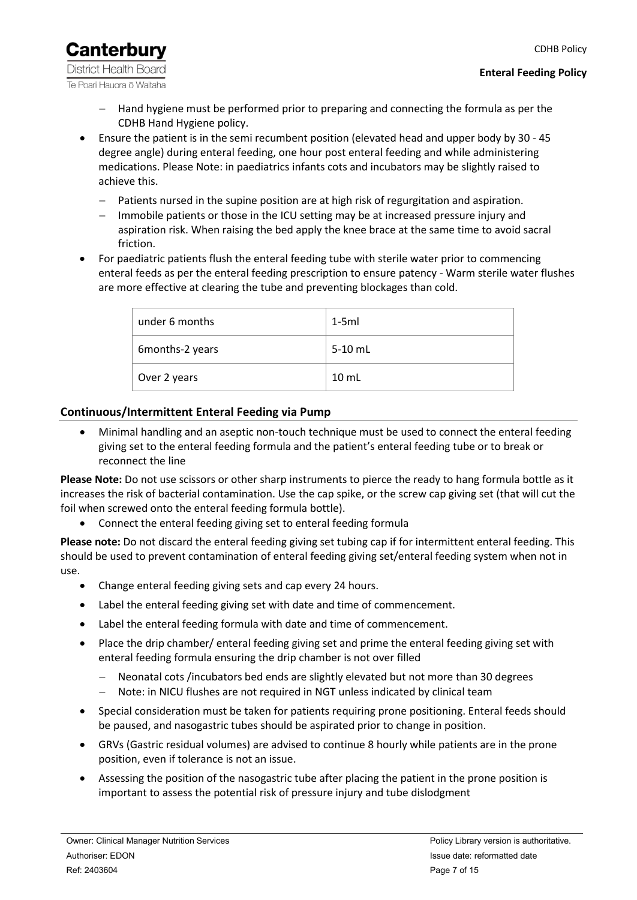**Canterbury District Health Board** Te Poari Hauora ō Waitaha

- Hand hygiene must be performed prior to preparing and connecting the formula as per the CDHB Hand Hygiene policy.
- Ensure the patient is in the semi recumbent position (elevated head and upper body by 30 45 degree angle) during enteral feeding, one hour post enteral feeding and while administering medications. Please Note: in paediatrics infants cots and incubators may be slightly raised to achieve this.
	- − Patients nursed in the supine position are at high risk of regurgitation and aspiration.
	- Immobile patients or those in the ICU setting may be at increased pressure injury and aspiration risk. When raising the bed apply the knee brace at the same time to avoid sacral friction.
- For paediatric patients flush the enteral feeding tube with sterile water prior to commencing enteral feeds as per the enteral feeding prescription to ensure patency - Warm sterile water flushes are more effective at clearing the tube and preventing blockages than cold.

| under 6 months  | $1-5ml$         |
|-----------------|-----------------|
| 6months-2 years | 5-10 mL         |
| Over 2 years    | $10 \text{ mL}$ |

# <span id="page-6-0"></span>**Continuous/Intermittent Enteral Feeding via Pump**

• Minimal handling and an aseptic non-touch technique must be used to connect the enteral feeding giving set to the enteral feeding formula and the patient's enteral feeding tube or to break or reconnect the line

**Please Note:** Do not use scissors or other sharp instruments to pierce the ready to hang formula bottle as it increases the risk of bacterial contamination. Use the cap spike, or the screw cap giving set (that will cut the foil when screwed onto the enteral feeding formula bottle).

• Connect the enteral feeding giving set to enteral feeding formula

**Please note:** Do not discard the enteral feeding giving set tubing cap if for intermittent enteral feeding. This should be used to prevent contamination of enteral feeding giving set/enteral feeding system when not in use.

- Change enteral feeding giving sets and cap every 24 hours.
- Label the enteral feeding giving set with date and time of commencement.
- Label the enteral feeding formula with date and time of commencement.
- Place the drip chamber/ enteral feeding giving set and prime the enteral feeding giving set with enteral feeding formula ensuring the drip chamber is not over filled
	- Neonatal cots /incubators bed ends are slightly elevated but not more than 30 degrees
	- − Note: in NICU flushes are not required in NGT unless indicated by clinical team
- Special consideration must be taken for patients requiring prone positioning. Enteral feeds should be paused, and nasogastric tubes should be aspirated prior to change in position.
- GRVs (Gastric residual volumes) are advised to continue 8 hourly while patients are in the prone position, even if tolerance is not an issue.
- Assessing the position of the nasogastric tube after placing the patient in the prone position is important to assess the potential risk of pressure injury and tube dislodgment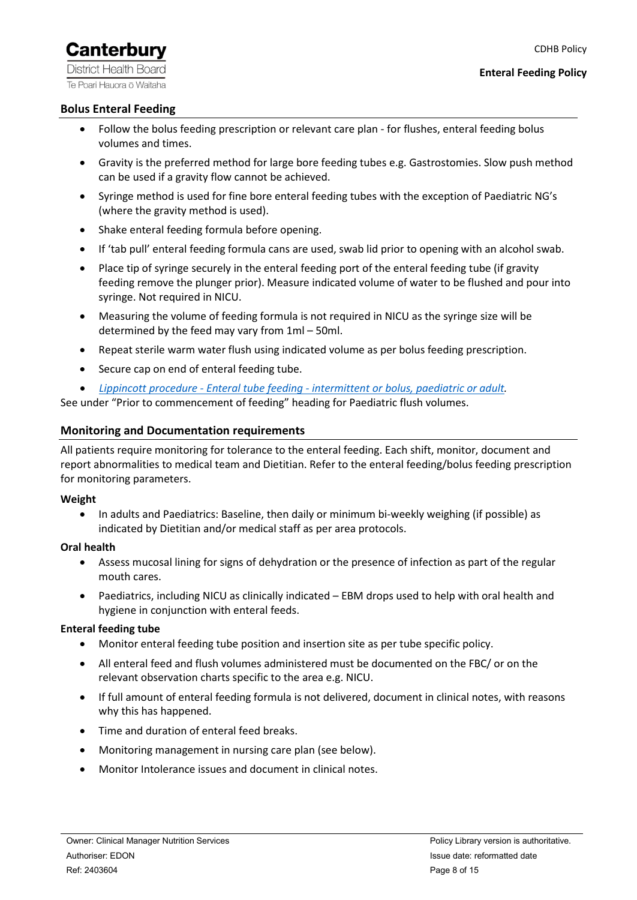**District Health Board** Te Poari Hauora ō Waitaha

### <span id="page-7-0"></span>**Bolus Enteral Feeding**

- Follow the bolus feeding prescription or relevant care plan for flushes, enteral feeding bolus volumes and times.
- Gravity is the preferred method for large bore feeding tubes e.g. Gastrostomies. Slow push method can be used if a gravity flow cannot be achieved.
- Syringe method is used for fine bore enteral feeding tubes with the exception of Paediatric NG's (where the gravity method is used).
- Shake enteral feeding formula before opening.
- If 'tab pull' enteral feeding formula cans are used, swab lid prior to opening with an alcohol swab.
- Place tip of syringe securely in the enteral feeding port of the enteral feeding tube (if gravity feeding remove the plunger prior). Measure indicated volume of water to be flushed and pour into syringe. Not required in NICU.
- Measuring the volume of feeding formula is not required in NICU as the syringe size will be determined by the feed may vary from 1ml – 50ml.
- Repeat sterile warm water flush using indicated volume as per bolus feeding prescription.
- Secure cap on end of enteral feeding tube.
- *Lippincott procedure - Enteral tube feeding - [intermittent or bolus, paediatric or adult.](http://procedures.lww.com/lnp/view.do?pId=729137&hits=enteral&a=false&ad=false)*

<span id="page-7-1"></span>See under "Prior to commencement of feeding" heading for Paediatric flush volumes.

### **Monitoring and Documentation requirements**

All patients require monitoring for tolerance to the enteral feeding. Each shift, monitor, document and report abnormalities to medical team and Dietitian. Refer to the enteral feeding/bolus feeding prescription for monitoring parameters.

### **Weight**

• In adults and Paediatrics: Baseline, then daily or minimum bi-weekly weighing (if possible) as indicated by Dietitian and/or medical staff as per area protocols.

### **Oral health**

- Assess mucosal lining for signs of dehydration or the presence of infection as part of the regular mouth cares.
- Paediatrics, including NICU as clinically indicated EBM drops used to help with oral health and hygiene in conjunction with enteral feeds.

### **Enteral feeding tube**

- Monitor enteral feeding tube position and insertion site as per tube specific policy.
- All enteral feed and flush volumes administered must be documented on the FBC/ or on the relevant observation charts specific to the area e.g. NICU.
- If full amount of enteral feeding formula is not delivered, document in clinical notes, with reasons why this has happened.
- Time and duration of enteral feed breaks.
- Monitoring management in nursing care plan (see below).
- Monitor Intolerance issues and document in clinical notes.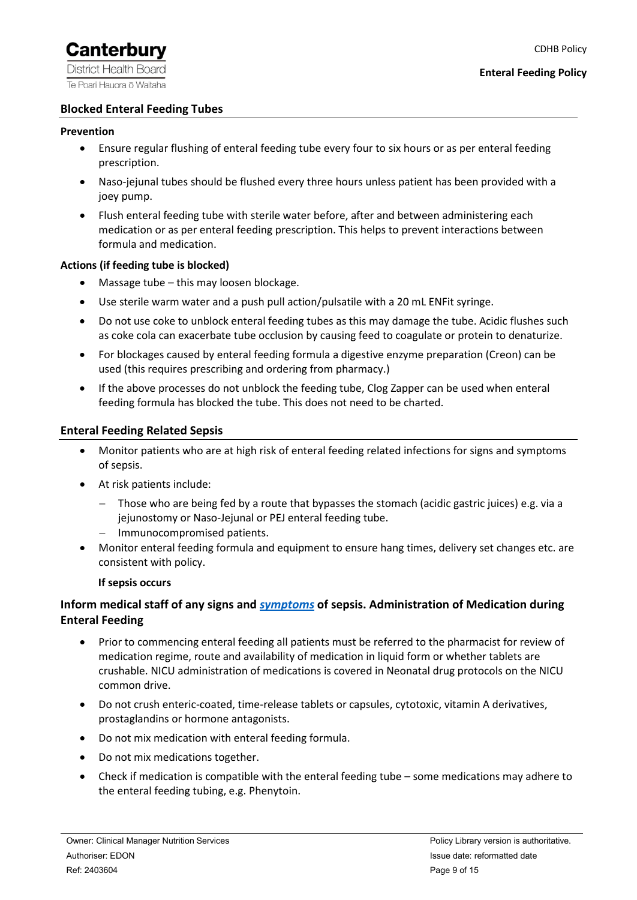#### <span id="page-8-0"></span>**Blocked Enteral Feeding Tubes**

#### **Prevention**

- Ensure regular flushing of enteral feeding tube every four to six hours or as per enteral feeding prescription.
- Naso-jejunal tubes should be flushed every three hours unless patient has been provided with a joey pump.
- Flush enteral feeding tube with sterile water before, after and between administering each medication or as per enteral feeding prescription. This helps to prevent interactions between formula and medication.

#### **Actions (if feeding tube is blocked)**

- Massage tube this may loosen blockage.
- Use sterile warm water and a push pull action/pulsatile with a 20 mL ENFit syringe.
- Do not use coke to unblock enteral feeding tubes as this may damage the tube. Acidic flushes such as coke cola can exacerbate tube occlusion by causing feed to coagulate or protein to denaturize.
- For blockages caused by enteral feeding formula a digestive enzyme preparation (Creon) can be used (this requires prescribing and ordering from pharmacy.)
- If the above processes do not unblock the feeding tube, Clog Zapper can be used when enteral feeding formula has blocked the tube. This does not need to be charted.

#### <span id="page-8-1"></span>**Enteral Feeding Related Sepsis**

- Monitor patients who are at high risk of enteral feeding related infections for signs and symptoms of sepsis.
- At risk patients include:
	- − Those who are being fed by a route that bypasses the stomach (acidic gastric juices) e.g. via a jejunostomy or Naso-Jejunal or PEJ enteral feeding tube.
	- − Immunocompromised patients.
- Monitor enteral feeding formula and equipment to ensure hang times, delivery set changes etc. are consistent with policy.

#### **If sepsis occurs**

# **Inform medical staff of any signs and** *[symptoms](https://canterbury.hospitalhealthpathways.org/46096.htm)* **of sepsis. Administration of Medication during Enteral Feeding**

- Prior to commencing enteral feeding all patients must be referred to the pharmacist for review of medication regime, route and availability of medication in liquid form or whether tablets are crushable. NICU administration of medications is covered in Neonatal drug protocols on the NICU common drive.
- Do not crush enteric-coated, time-release tablets or capsules, cytotoxic, vitamin A derivatives, prostaglandins or hormone antagonists.
- Do not mix medication with enteral feeding formula.
- Do not mix medications together.
- Check if medication is compatible with the enteral feeding tube some medications may adhere to the enteral feeding tubing, e.g. Phenytoin.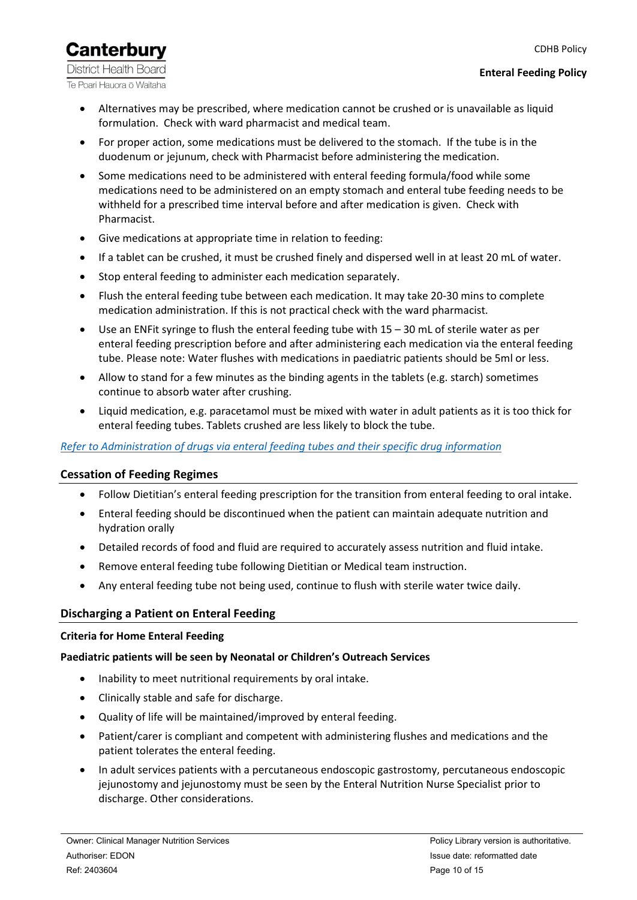CDHB Policy

**District Health Board** Te Poari Hauora ō Waitaha

**Canterbury** 

- Alternatives may be prescribed, where medication cannot be crushed or is unavailable as liquid formulation. Check with ward pharmacist and medical team.
- For proper action, some medications must be delivered to the stomach. If the tube is in the duodenum or jejunum, check with Pharmacist before administering the medication.
- Some medications need to be administered with enteral feeding formula/food while some medications need to be administered on an empty stomach and enteral tube feeding needs to be withheld for a prescribed time interval before and after medication is given. Check with Pharmacist.
- Give medications at appropriate time in relation to feeding:
- If a tablet can be crushed, it must be crushed finely and dispersed well in at least 20 mL of water.
- Stop enteral feeding to administer each medication separately.
- Flush the enteral feeding tube between each medication. It may take 20-30 mins to complete medication administration. If this is not practical check with the ward pharmacist.
- Use an ENFit syringe to flush the enteral feeding tube with 15 30 mL of sterile water as per enteral feeding prescription before and after administering each medication via the enteral feeding tube. Please note: Water flushes with medications in paediatric patients should be 5ml or less.
- Allow to stand for a few minutes as the binding agents in the tablets (e.g. starch) sometimes continue to absorb water after crushing.
- Liquid medication, e.g. paracetamol must be mixed with water in adult patients as it is too thick for enteral feeding tubes. Tablets crushed are less likely to block the tube.

### *Refer to [Administration of drugs via enteral feeding tubes](https://cdhbintranet.cdhb.health.nz/medicalandsurgical/clinicalpharmacology/Pharmacology%20Guidelines/Administration%20of%20drugs%20via%20enteral%20feeding%20tubes.pdf#search=administration%20of%20drugs%20via%20enteral%20feeding%20tubes) and their [specific drug information](https://prism.cdhb.health.nz/Site/PharmacyServices/TeamDocuments/Guidelines/Administration%20of%20drugs%20via%20enteral%20feeding%20tubes%20%20-%20specific%20drug%20information.pdf#search=administration%20of%20drugs%20via%20enteral%20feeding%20tubes)*

### <span id="page-9-0"></span>**Cessation of Feeding Regimes**

- Follow Dietitian's enteral feeding prescription for the transition from enteral feeding to oral intake.
- Enteral feeding should be discontinued when the patient can maintain adequate nutrition and hydration orally
- Detailed records of food and fluid are required to accurately assess nutrition and fluid intake.
- Remove enteral feeding tube following Dietitian or Medical team instruction.
- Any enteral feeding tube not being used, continue to flush with sterile water twice daily.

### <span id="page-9-1"></span>**Discharging a Patient on Enteral Feeding**

#### <span id="page-9-2"></span>**Criteria for Home Enteral Feeding**

### **Paediatric patients will be seen by Neonatal or Children's Outreach Services**

- Inability to meet nutritional requirements by oral intake.
- Clinically stable and safe for discharge.
- Quality of life will be maintained/improved by enteral feeding.
- Patient/carer is compliant and competent with administering flushes and medications and the patient tolerates the enteral feeding.
- In adult services patients with a percutaneous endoscopic gastrostomy, percutaneous endoscopic jejunostomy and jejunostomy must be seen by the Enteral Nutrition Nurse Specialist prior to discharge. Other considerations.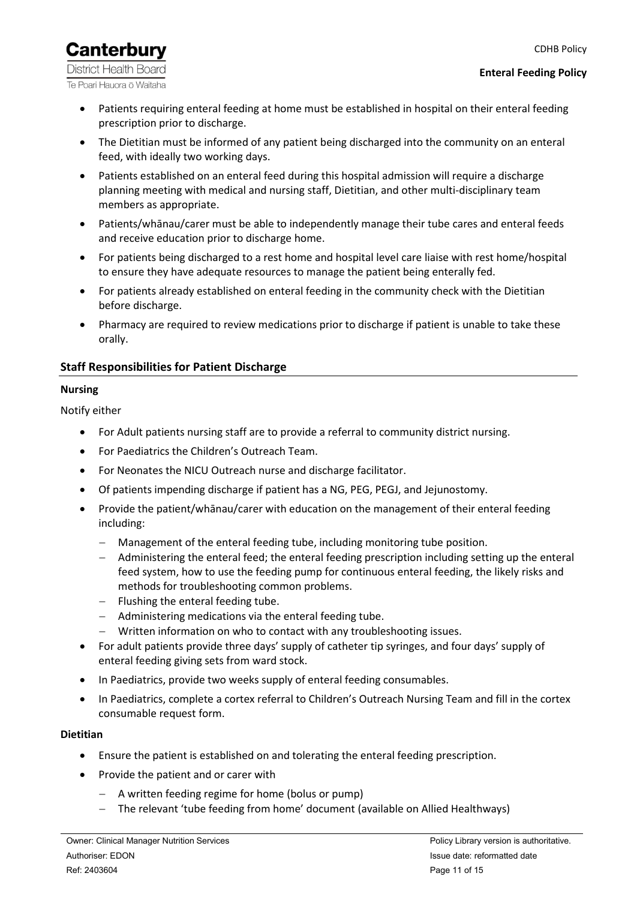CDHB Policy

# **Canterbury**

**District Health Board** Te Poari Hauora ō Waitaha

#### **Enteral Feeding Policy**

- Patients requiring enteral feeding at home must be established in hospital on their enteral feeding prescription prior to discharge.
- The Dietitian must be informed of any patient being discharged into the community on an enteral feed, with ideally two working days.
- Patients established on an enteral feed during this hospital admission will require a discharge planning meeting with medical and nursing staff, Dietitian, and other multi-disciplinary team members as appropriate.
- Patients/whānau/carer must be able to independently manage their tube cares and enteral feeds and receive education prior to discharge home.
- For patients being discharged to a rest home and hospital level care liaise with rest home/hospital to ensure they have adequate resources to manage the patient being enterally fed.
- For patients already established on enteral feeding in the community check with the Dietitian before discharge.
- Pharmacy are required to review medications prior to discharge if patient is unable to take these orally.

# <span id="page-10-0"></span>**Staff Responsibilities for Patient Discharge**

# <span id="page-10-1"></span>**Nursing**

Notify either

- For Adult patients nursing staff are to provide a referral to community district nursing.
- For Paediatrics the Children's Outreach Team.
- For Neonates the NICU Outreach nurse and discharge facilitator.
- Of patients impending discharge if patient has a NG, PEG, PEGJ, and Jejunostomy.
- Provide the patient/whānau/carer with education on the management of their enteral feeding including:
	- − Management of the enteral feeding tube, including monitoring tube position.
	- − Administering the enteral feed; the enteral feeding prescription including setting up the enteral feed system, how to use the feeding pump for continuous enteral feeding, the likely risks and methods for troubleshooting common problems.
	- − Flushing the enteral feeding tube.
	- − Administering medications via the enteral feeding tube.
	- − Written information on who to contact with any troubleshooting issues.
- For adult patients provide three days' supply of catheter tip syringes, and four days' supply of enteral feeding giving sets from ward stock.
- In Paediatrics, provide two weeks supply of enteral feeding consumables.
- In Paediatrics, complete a cortex referral to Children's Outreach Nursing Team and fill in the cortex consumable request form.

# <span id="page-10-2"></span>**Dietitian**

- Ensure the patient is established on and tolerating the enteral feeding prescription.
- Provide the patient and or carer with
	- − A written feeding regime for home (bolus or pump)
	- The relevant 'tube feeding from home' document (available on Allied Healthways)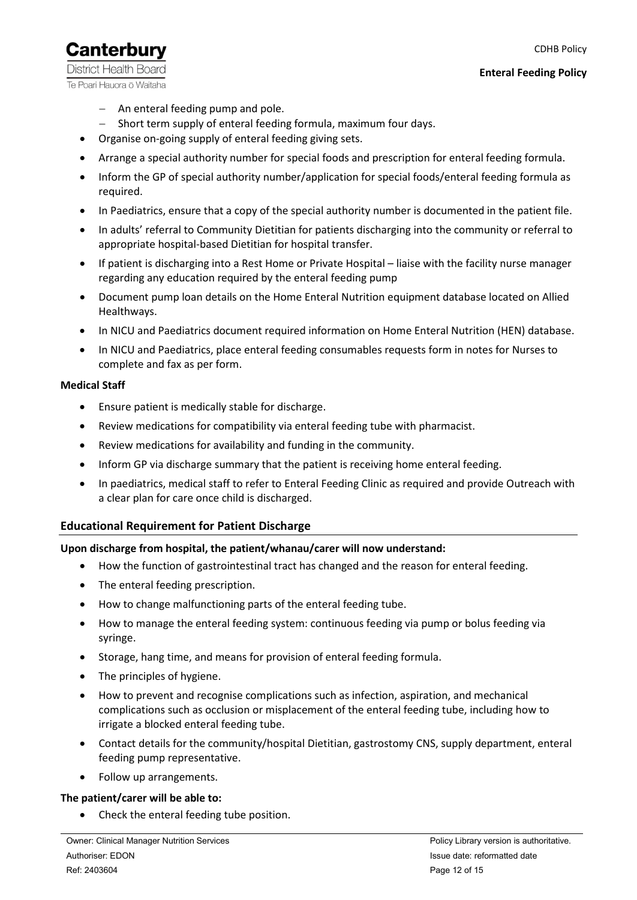**Canterbury District Health Board** Te Poari Hauora ō Waitaha

- − An enteral feeding pump and pole.
- − Short term supply of enteral feeding formula, maximum four days.
- Organise on-going supply of enteral feeding giving sets.
- Arrange a special authority number for special foods and prescription for enteral feeding formula.
- Inform the GP of special authority number/application for special foods/enteral feeding formula as required.
- In Paediatrics, ensure that a copy of the special authority number is documented in the patient file.
- In adults' referral to Community Dietitian for patients discharging into the community or referral to appropriate hospital-based Dietitian for hospital transfer.
- If patient is discharging into a Rest Home or Private Hospital liaise with the facility nurse manager regarding any education required by the enteral feeding pump
- Document pump loan details on the Home Enteral Nutrition equipment database located on Allied Healthways.
- In NICU and Paediatrics document required information on Home Enteral Nutrition (HEN) database.
- In NICU and Paediatrics, place enteral feeding consumables requests form in notes for Nurses to complete and fax as per form.

#### <span id="page-11-0"></span>**Medical Staff**

- Ensure patient is medically stable for discharge.
- Review medications for compatibility via enteral feeding tube with pharmacist.
- Review medications for availability and funding in the community.
- Inform GP via discharge summary that the patient is receiving home enteral feeding.
- In paediatrics, medical staff to refer to Enteral Feeding Clinic as required and provide Outreach with a clear plan for care once child is discharged.

### <span id="page-11-1"></span>**Educational Requirement for Patient Discharge**

#### **Upon discharge from hospital, the patient/whanau/carer will now understand:**

- How the function of gastrointestinal tract has changed and the reason for enteral feeding.
- The enteral feeding prescription.
- How to change malfunctioning parts of the enteral feeding tube.
- How to manage the enteral feeding system: continuous feeding via pump or bolus feeding via syringe.
- Storage, hang time, and means for provision of enteral feeding formula.
- The principles of hygiene.
- How to prevent and recognise complications such as infection, aspiration, and mechanical complications such as occlusion or misplacement of the enteral feeding tube, including how to irrigate a blocked enteral feeding tube.
- Contact details for the community/hospital Dietitian, gastrostomy CNS, supply department, enteral feeding pump representative.
- Follow up arrangements.

#### **The patient/carer will be able to:**

• Check the enteral feeding tube position.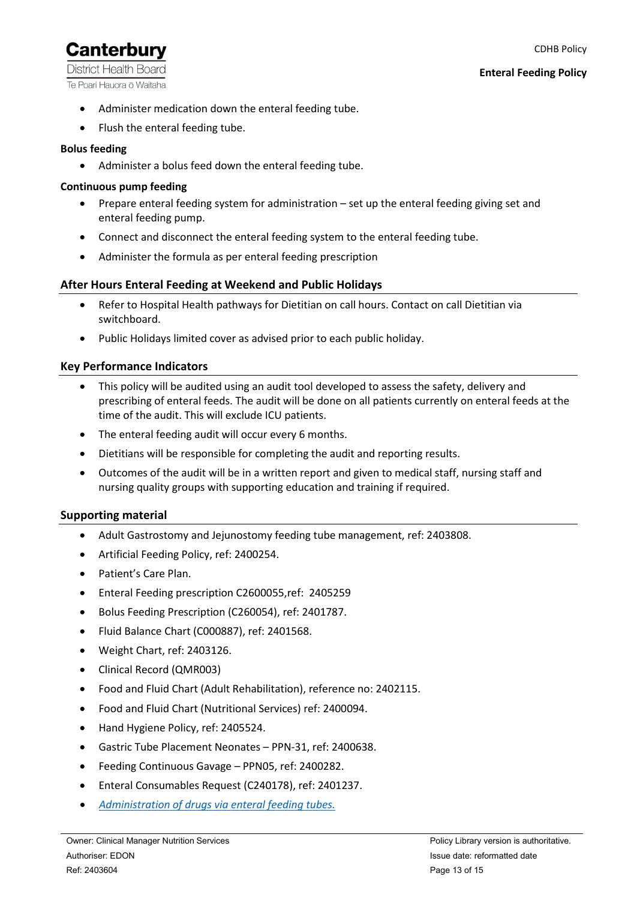**District Health Board** Te Poari Hauora ō Waitaha

- Administer medication down the enteral feeding tube.
- Flush the enteral feeding tube.

### **Bolus feeding**

• Administer a bolus feed down the enteral feeding tube.

### **Continuous pump feeding**

- Prepare enteral feeding system for administration set up the enteral feeding giving set and enteral feeding pump.
- Connect and disconnect the enteral feeding system to the enteral feeding tube.
- Administer the formula as per enteral feeding prescription

# <span id="page-12-0"></span>**After Hours Enteral Feeding at Weekend and Public Holidays**

- Refer to Hospital Health pathways for Dietitian on call hours. Contact on call Dietitian via switchboard.
- Public Holidays limited cover as advised prior to each public holiday.

# <span id="page-12-1"></span>**Key Performance Indicators**

- This policy will be audited using an audit tool developed to assess the safety, delivery and prescribing of enteral feeds. The audit will be done on all patients currently on enteral feeds at the time of the audit. This will exclude ICU patients.
- The enteral feeding audit will occur every 6 months.
- Dietitians will be responsible for completing the audit and reporting results.
- Outcomes of the audit will be in a written report and given to medical staff, nursing staff and nursing quality groups with supporting education and training if required.

### <span id="page-12-2"></span>**Supporting material**

- Adult Gastrostomy and Jejunostomy feeding tube management, ref: 2403808.
- Artificial Feeding Policy, ref: 2400254.
- Patient's Care Plan.
- Enteral Feeding prescription C2600055,ref: 2405259
- Bolus Feeding Prescription (C260054), ref: 2401787.
- Fluid Balance Chart (C000887), ref: 2401568.
- Weight Chart, ref: 2403126.
- Clinical Record (QMR003)
- Food and Fluid Chart (Adult Rehabilitation), reference no: 2402115.
- Food and Fluid Chart (Nutritional Services) ref: 2400094.
- Hand Hygiene Policy, ref: 2405524.
- Gastric Tube Placement Neonates PPN-31, ref: 2400638.
- Feeding Continuous Gavage PPN05, ref: 2400282.
- Enteral Consumables Request (C240178), ref: 2401237.
- *[Administration of drugs via enteral feeding tubes.](https://cdhbintranet.cdhb.health.nz/medicalandsurgical/clinicalpharmacology/Pharmacology%20Guidelines/Administration%20of%20drugs%20via%20enteral%20feeding%20tubes.pdf#search=administration%20of%20drugs%20via%20enteral%20feeding%20tubes)*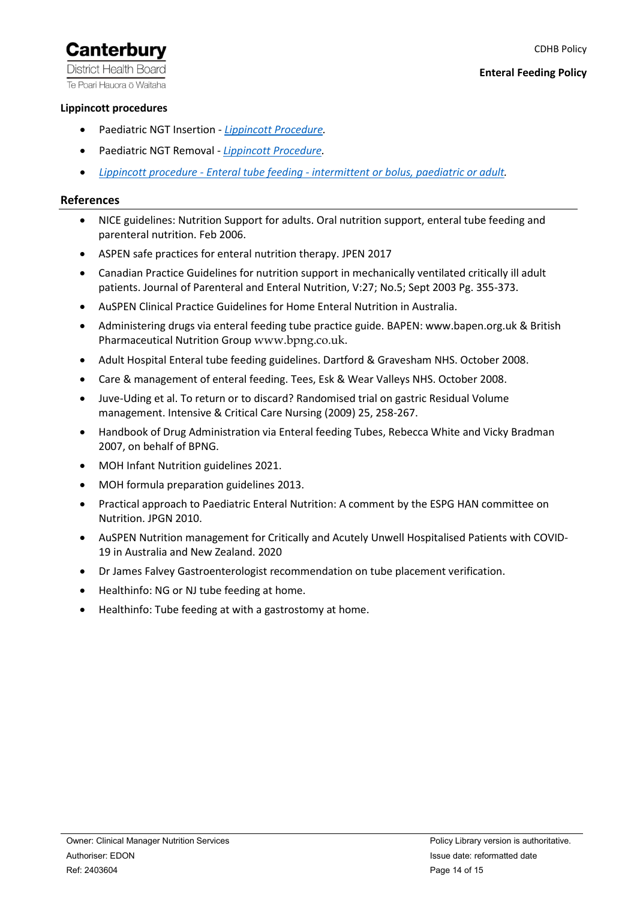**District Health Board** Te Poari Hauora ō Waitaha

### <span id="page-13-0"></span>**Lippincott procedures**

- Paediatric NGT Insertion *[Lippincott Procedure.](http://procedures.lww.com/lnp/view.do?pId=729410&hits=tube,nasogastric,ng,tubes&a=false&ad=false)*
- Paediatric NGT Removal *[Lippincott Procedure.](http://procedures.lww.com/lnp/view.do?pId=1136986&hits=ng,nasogastric&a=false&ad=false)*
- *[Lippincott procedure -](http://procedures.lww.com/lnp/view.do?pId=729137&hits=enteral&a=false&ad=false) Enteral tube feeding - intermittent or bolus, paediatric or adult.*

#### <span id="page-13-1"></span>**References**

- NICE guidelines: Nutrition Support for adults. Oral nutrition support, enteral tube feeding and parenteral nutrition. Feb 2006.
- ASPEN safe practices for enteral nutrition therapy. JPEN 2017
- Canadian Practice Guidelines for nutrition support in mechanically ventilated critically ill adult patients. Journal of Parenteral and Enteral Nutrition, V:27; No.5; Sept 2003 Pg. 355-373.
- AuSPEN Clinical Practice Guidelines for Home Enteral Nutrition in Australia.
- Administering drugs via enteral feeding tube practice guide. BAPEN: www.bapen.org.uk & British Pharmaceutical Nutrition Group [www.bpng.co.uk](http://www.bpng.co.uk/).
- Adult Hospital Enteral tube feeding guidelines. Dartford & Gravesham NHS. October 2008.
- Care & management of enteral feeding. Tees, Esk & Wear Valleys NHS. October 2008.
- Juve-Uding et al. To return or to discard? Randomised trial on gastric Residual Volume management. Intensive & Critical Care Nursing (2009) 25, 258-267.
- Handbook of Drug Administration via Enteral feeding Tubes, Rebecca White and Vicky Bradman 2007, on behalf of BPNG.
- MOH Infant Nutrition guidelines 2021.
- MOH formula preparation guidelines 2013.
- Practical approach to Paediatric Enteral Nutrition: A comment by the ESPG HAN committee on Nutrition. JPGN 2010.
- AuSPEN Nutrition management for Critically and Acutely Unwell Hospitalised Patients with COVID-19 in Australia and New Zealand. 2020
- Dr James Falvey Gastroenterologist recommendation on tube placement verification.
- Healthinfo: NG or NJ tube feeding at home.
- Healthinfo: Tube feeding at with a gastrostomy at home.